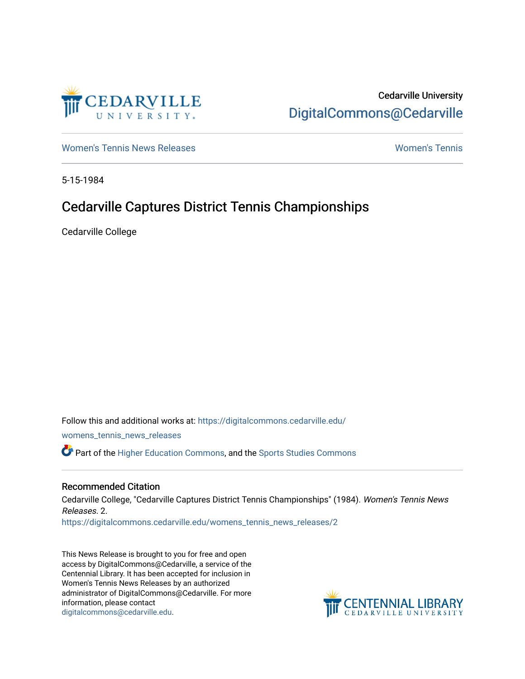

# Cedarville University [DigitalCommons@Cedarville](https://digitalcommons.cedarville.edu/)

[Women's Tennis News Releases](https://digitalcommons.cedarville.edu/womens_tennis_news_releases) [Women's Tennis](https://digitalcommons.cedarville.edu/womens_tennis) 

5-15-1984

## Cedarville Captures District Tennis Championships

Cedarville College

Follow this and additional works at: [https://digitalcommons.cedarville.edu/](https://digitalcommons.cedarville.edu/womens_tennis_news_releases?utm_source=digitalcommons.cedarville.edu%2Fwomens_tennis_news_releases%2F2&utm_medium=PDF&utm_campaign=PDFCoverPages) [womens\\_tennis\\_news\\_releases](https://digitalcommons.cedarville.edu/womens_tennis_news_releases?utm_source=digitalcommons.cedarville.edu%2Fwomens_tennis_news_releases%2F2&utm_medium=PDF&utm_campaign=PDFCoverPages)  Part of the [Higher Education Commons,](http://network.bepress.com/hgg/discipline/1245?utm_source=digitalcommons.cedarville.edu%2Fwomens_tennis_news_releases%2F2&utm_medium=PDF&utm_campaign=PDFCoverPages) and the [Sports Studies Commons](http://network.bepress.com/hgg/discipline/1198?utm_source=digitalcommons.cedarville.edu%2Fwomens_tennis_news_releases%2F2&utm_medium=PDF&utm_campaign=PDFCoverPages) 

## Recommended Citation

Cedarville College, "Cedarville Captures District Tennis Championships" (1984). Women's Tennis News Releases. 2.

[https://digitalcommons.cedarville.edu/womens\\_tennis\\_news\\_releases/2](https://digitalcommons.cedarville.edu/womens_tennis_news_releases/2?utm_source=digitalcommons.cedarville.edu%2Fwomens_tennis_news_releases%2F2&utm_medium=PDF&utm_campaign=PDFCoverPages) 

This News Release is brought to you for free and open access by DigitalCommons@Cedarville, a service of the Centennial Library. It has been accepted for inclusion in Women's Tennis News Releases by an authorized administrator of DigitalCommons@Cedarville. For more information, please contact [digitalcommons@cedarville.edu](mailto:digitalcommons@cedarville.edu).

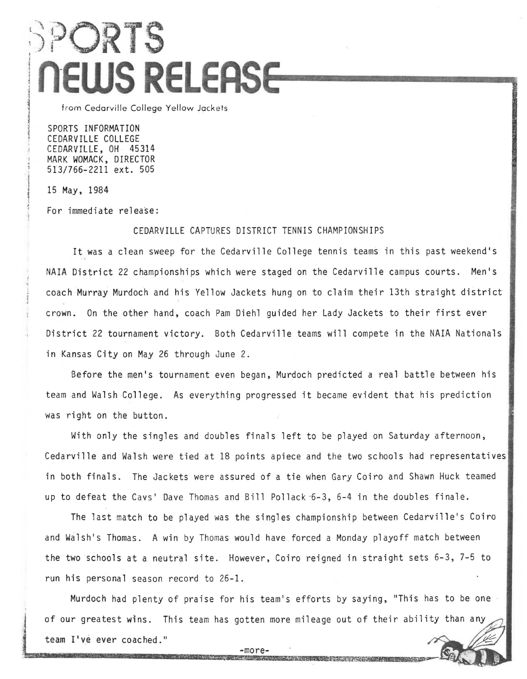# :)PORTS 1 l **n·ews RELEAS**   $\label{eq:1} \dot{m}_1 \, \dot{m}_2 \, \dot{m}_2 \, \dot{m}_3 \, \dot{m}_4 \, \dot{m}_5$

from Cedarville College Yellow Jackets

SPORTS INFORMATION CEDARVILLE COLLEGE CEDARVILLE, OH 45314 MARK WOMACK, DIRECTOR 513/766-2211 ext. 505

15 May, 1984

kwa<br>Lik

f<br>Frankriken world be met. ;

For immediate release:

#### CEDARVILLE CAPTURES DISTRICT TENNIS CHAMPIONSHIPS

It was a clean sweep for the Cedarville College tennis teams in this past weekend's NAIA District 22 championships which were staged on the Cedarville campus courts. Men's coach Murray Murdoch and his Yellow Jackets hung on to claim their 13th straight district crown. On the other hand, coach Pam Diehl guided her Lady Jackets to their first ever District 22 tournament victory. Both Cedarville teams will compete in the NAIA Nationals in Kansas City on May 26 through June 2.

Before the men's tournament even began, Murdoch predicted a real battle between his team and Walsh College. As everything progressed it became evident that his prediction was right on the button.

With only the singles and doubles finals left to be played on Saturday afternoon, Cedarville and Walsh were tied at 18 points apiece and the two schools had representatives in both finals. The Jackets were assured of a tie when Gary Coiro and Shawn Huck teamed up to defeat the Cavs' Dave Thomas and Bill Pollack ·6-3, 6-4 in the doubles finale.

The last match to be played was the singles championship between Cedarville's Coiro and Walsh's Thomas. A win by Thomas would have forced a Monday playoff match between the two schools at a neutral site. However, Coiro reigned in straight sets 6-3, 7-5 to run his personal season record to 26-1.

Murdoch had plenty of praise for his team's efforts by saying, "This has to be one of our greatest wins. This team has gotten more mileage out of their ability than team I've ever coached."

> $-more \mathcal{A} \times \mathcal{I}_A \times \mathcal{I}_C \rightarrow \mathcal{I}_C \times \mathcal{I}_C \times \mathcal{I}_C \rightarrow \mathcal{I}_C \times \mathcal{I}_C$